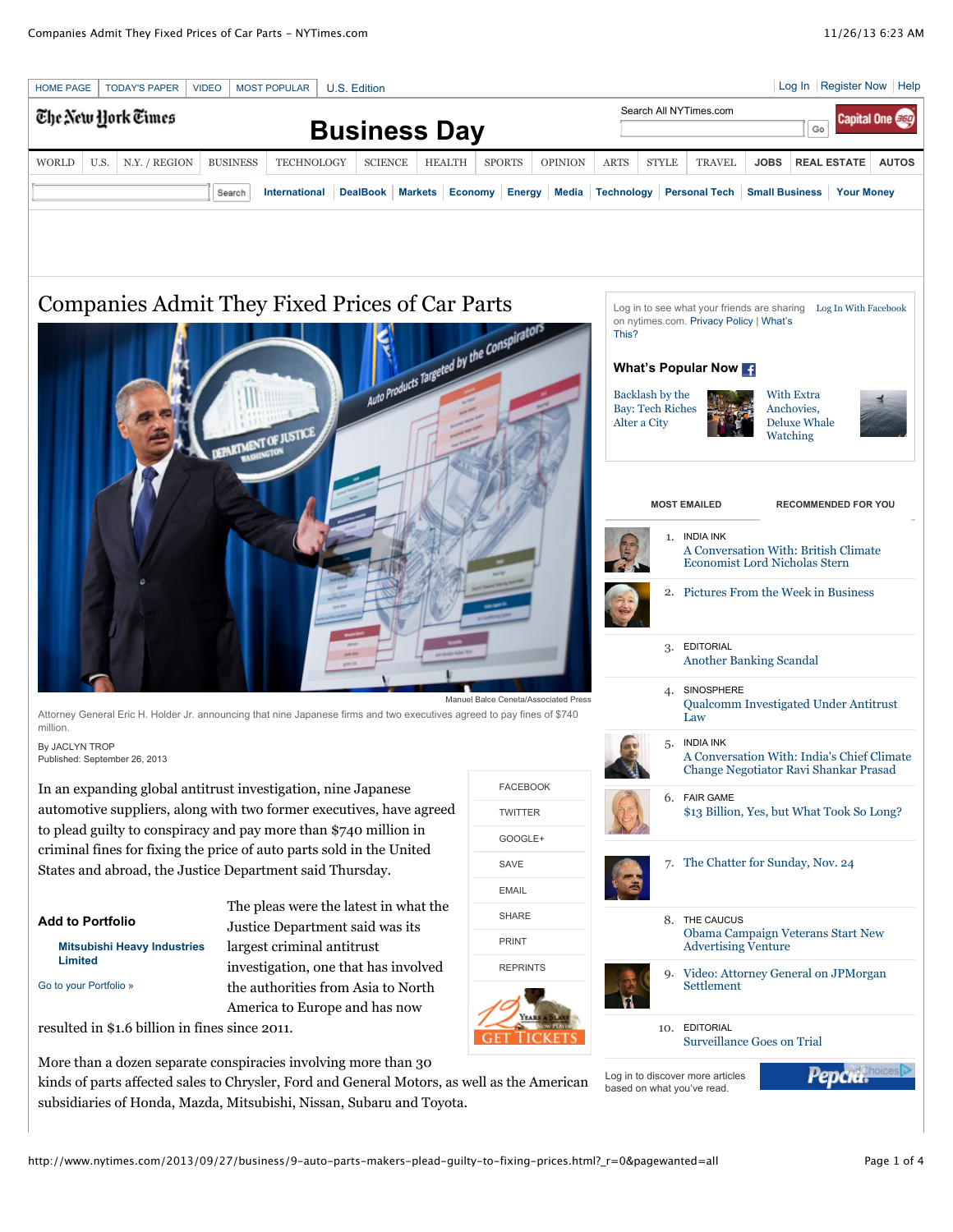

## Companies Admit They Fixed Prices of Car Parts



Manuel Balce Ceneta/Associated P

FACEBOOK TWITTER GOOGLE+ SAVE EMAIL SHARE [PRINT](http://www.nytimes.com/2013/09/27/business/9-auto-parts-makers-plead-guilty-to-fixing-prices.html?_r=0&pagewanted=all&pagewanted=print) REPRINTS

Attorney General Eric H. Holder Jr. announcing that nine Japanese firms and two executives agreed to pay fines of \$740 million.

By JACLYN TROP Published: September 26, 2013

In an expanding global antitrust investigation, nine Japanese automotive suppliers, along with two former executives, have agreed to plead guilty to conspiracy and pay more than \$740 million in criminal fines for fixing the price of auto parts sold in the United States and abroad, the Justice Department said Thursday.

## **Add to Portfolio**

**[Mitsubishi Heavy Industries](http://www.nytimes.com/auth/login?URI=http://www.nytimes.com/2013/09/27/business/9-auto-parts-makers-plead-guilty-to-fixing-prices.html) Limited**

[Go to your Portfolio »](http://markets.on.nytimes.com/research/portfolio/view/view.asp#sda)

The pleas were the latest in what the Justice Department said was its largest criminal antitrust investigation, one that has involved the authorities from Asia to North America to Europe and has now



More than a dozen separate conspiracies involving more than 30

kinds of parts affected sales to Chrysler, Ford and General Motors, as well as the American subsidiaries of Honda, Mazda, Mitsubishi, Nissan, Subaru and Toyota.

| This?        |                                            | Log in to see what your friends are sharing<br>on nytimes.com. Privacy Policy   What's | Log In With Facebook                                                                |  |
|--------------|--------------------------------------------|----------------------------------------------------------------------------------------|-------------------------------------------------------------------------------------|--|
| Alter a City | Backlash by the<br><b>Bay: Tech Riches</b> | <b>What's Popular Now</b>                                                              | <b>With Extra</b><br>Anchovies,<br><b>Deluxe Whale</b><br>Watching                  |  |
|              | <b>MOST EMAILED</b>                        |                                                                                        | <b>RECOMMENDED FOR YOU</b>                                                          |  |
|              | 1.                                         | <b>INDIA INK</b>                                                                       | A Conversation With: British Climate<br><b>Economist Lord Nicholas Stern</b>        |  |
|              | 2.                                         |                                                                                        | <b>Pictures From the Week in Business</b>                                           |  |
|              | 3.                                         | <b>EDITORIAL</b><br><b>Another Banking Scandal</b>                                     |                                                                                     |  |
|              | 4.                                         | SINOSPHERE<br>Law                                                                      | <b>Qualcomm Investigated Under Antitrust</b>                                        |  |
|              | 5.                                         | <b>INDIA INK</b>                                                                       | A Conversation With: India's Chief Climate<br>Change Negotiator Ravi Shankar Prasad |  |
|              | 6.                                         | <b>FAIR GAME</b>                                                                       | \$13 Billion, Yes, but What Took So Long?                                           |  |
|              | 7.                                         |                                                                                        | The Chatter for Sunday, Nov. 24                                                     |  |
|              | 8.                                         | THE CAUCUS<br><b>Advertising Venture</b>                                               | Obama Campaign Veterans Start New                                                   |  |
|              | 9.                                         | Settlement                                                                             | Video: Attorney General on JPMorgan                                                 |  |
|              | 10.                                        | <b>EDITORIAL</b><br><b>Surveillance Goes on Trial</b>                                  |                                                                                     |  |

Log in to discover more articles based on what you've read.

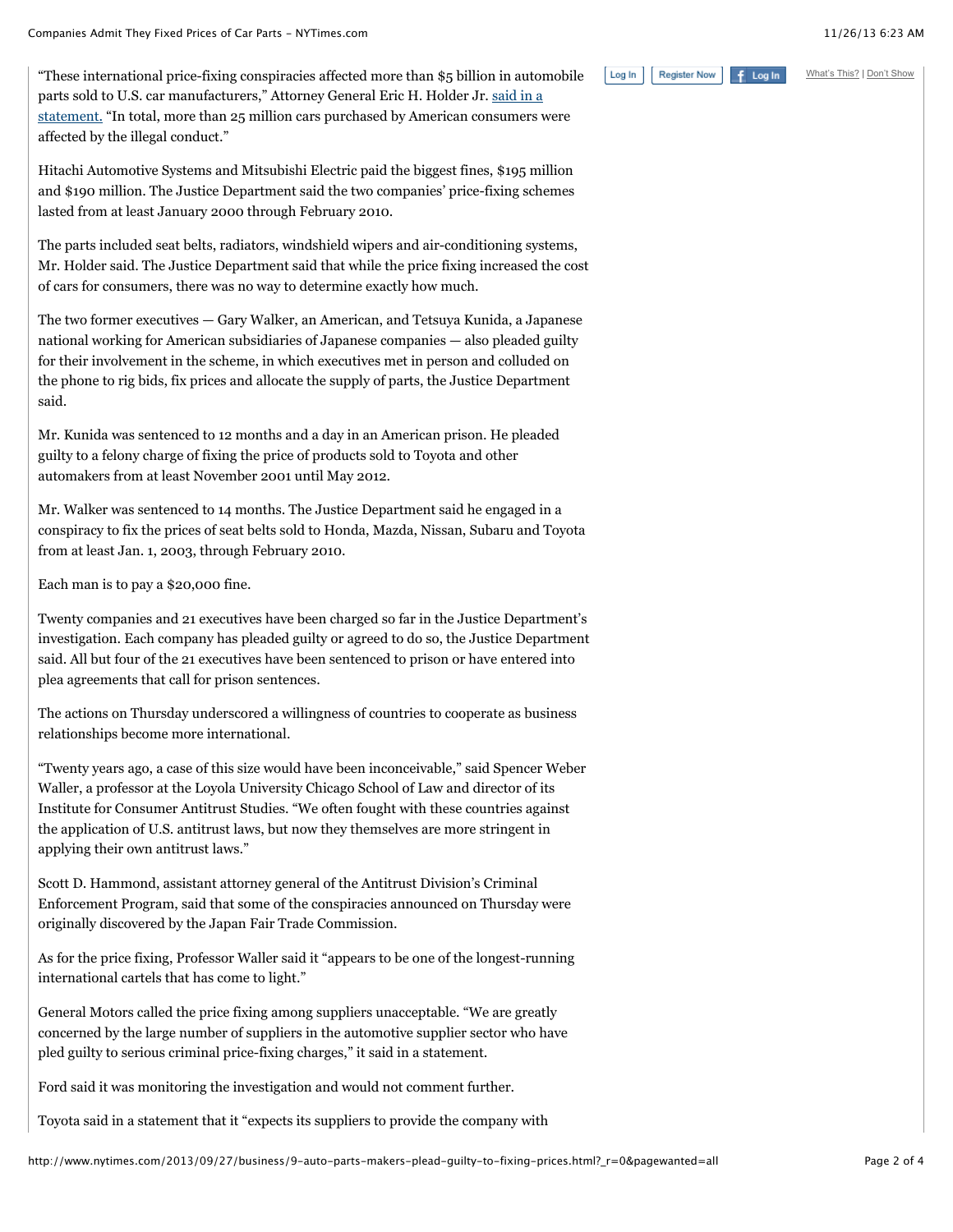"These international price-fixing conspiracies affected more than \$5 billion in automobile parts sold to U.S. car manufacturers," Attorney General Eric H. Holder Jr. said in a [statement. "In total, more than 25 million cars purchased by American consumers w](http://www.justice.gov/iso/opa/ag/speeches/2013/ag-speech-1309261.html)ere affected by the illegal conduct."

Hitachi Automotive Systems and Mitsubishi Electric paid the biggest fines, \$195 million and \$190 million. The Justice Department said the two companies' price-fixing schemes lasted from at least January 2000 through February 2010.

The parts included seat belts, radiators, windshield wipers and air-conditioning systems, Mr. Holder said. The Justice Department said that while the price fixing increased the cost of cars for consumers, there was no way to determine exactly how much.

The two former executives — Gary Walker, an American, and Tetsuya Kunida, a Japanese national working for American subsidiaries of Japanese companies — also pleaded guilty for their involvement in the scheme, in which executives met in person and colluded on the phone to rig bids, fix prices and allocate the supply of parts, the Justice Department said.

Mr. Kunida was sentenced to 12 months and a day in an American prison. He pleaded guilty to a felony charge of fixing the price of products sold to Toyota and other automakers from at least November 2001 until May 2012.

Mr. Walker was sentenced to 14 months. The Justice Department said he engaged in a conspiracy to fix the prices of seat belts sold to Honda, Mazda, Nissan, Subaru and Toyota from at least Jan. 1, 2003, through February 2010.

Each man is to pay a \$20,000 fine.

Twenty companies and 21 executives have been charged so far in the Justice Department's investigation. Each company has pleaded guilty or agreed to do so, the Justice Department said. All but four of the 21 executives have been sentenced to prison or have entered into plea agreements that call for prison sentences.

The actions on Thursday underscored a willingness of countries to cooperate as business relationships become more international.

"Twenty years ago, a case of this size would have been inconceivable," said Spencer Weber Waller, a professor at the Loyola University Chicago School of Law and director of its Institute for Consumer Antitrust Studies. "We often fought with these countries against the application of U.S. antitrust laws, but now they themselves are more stringent in applying their own antitrust laws."

Scott D. Hammond, assistant attorney general of the Antitrust Division's Criminal Enforcement Program, said that some of the conspiracies announced on Thursday were originally discovered by the Japan Fair Trade Commission.

As for the price fixing, Professor Waller said it "appears to be one of the longest-running international cartels that has come to light."

General Motors called the price fixing among suppliers unacceptable. "We are greatly concerned by the large number of suppliers in the automotive supplier sector who have pled guilty to serious criminal price-fixing charges," it said in a statement.

Ford said it was monitoring the investigation and would not comment further.

Toyota said in a statement that it "expects its suppliers to provide the company with

[What's This?](http://www.nytimes.com/content/help/extras/recommendations/recommendations.html) | Don't Show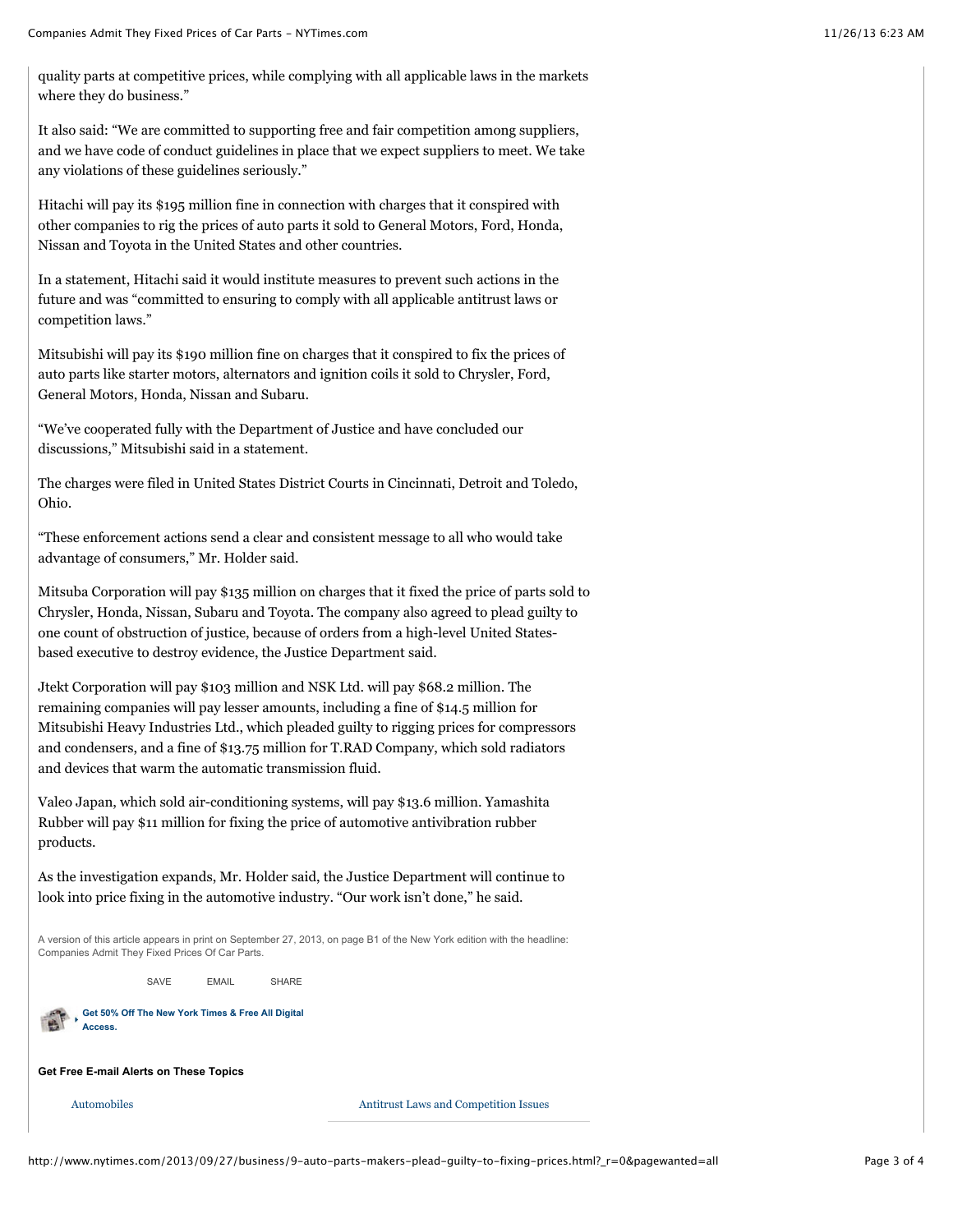quality parts at competitive prices, while complying with all applicable laws in the markets where they do business."

It also said: "We are committed to supporting free and fair competition among suppliers, and we have code of conduct guidelines in place that we expect suppliers to meet. We take any violations of these guidelines seriously."

Hitachi will pay its \$195 million fine in connection with charges that it conspired with other companies to rig the prices of auto parts it sold to General Motors, Ford, Honda, Nissan and Toyota in the United States and other countries.

In a statement, Hitachi said it would institute measures to prevent such actions in the future and was "committed to ensuring to comply with all applicable antitrust laws or competition laws."

Mitsubishi will pay its \$190 million fine on charges that it conspired to fix the prices of auto parts like starter motors, alternators and ignition coils it sold to Chrysler, Ford, General Motors, Honda, Nissan and Subaru.

"We've cooperated fully with the Department of Justice and have concluded our discussions," Mitsubishi said in a statement.

The charges were filed in United States District Courts in Cincinnati, Detroit and Toledo, Ohio.

"These enforcement actions send a clear and consistent message to all who would take advantage of consumers," Mr. Holder said.

Mitsuba Corporation will pay \$135 million on charges that it fixed the price of parts sold to Chrysler, Honda, Nissan, Subaru and Toyota. The company also agreed to plead guilty to one count of obstruction of justice, because of orders from a high-level United Statesbased executive to destroy evidence, the Justice Department said.

Jtekt Corporation will pay \$103 million and NSK Ltd. will pay \$68.2 million. The remaining companies will pay lesser amounts, including a fine of \$14.5 million for Mitsubishi Heavy Industries Ltd., which pleaded guilty to rigging prices for compressors and condensers, and a fine of \$13.75 million for T.RAD Company, which sold radiators and devices that warm the automatic transmission fluid.

Valeo Japan, which sold air-conditioning systems, will pay \$13.6 million. Yamashita Rubber will pay \$11 million for fixing the price of automotive antivibration rubber products.

As the investigation expands, Mr. Holder said, the Justice Department will continue to look into price fixing in the automotive industry. "Our work isn't done," he said.

A version of this article appears in print on September 27, 2013, on page B1 of the New York edition with the headline: Companies Admit They Fixed Prices Of Car Parts.

SAVE FMAIL SHARE

**[Get 50% Off The New York Times & Free All Digital](http://www.nytimes.com/adx/bin/adx_click.html?type=goto&opzn&page=www.nytimes.com/yr/mo/day/business&pos=Bottom1&sn2=794b505b/5ccf9ae2&sn1=76942ec/5762b930&camp=nyt2013_footer_hd_hp_ros_34QQH&ad=052909-footer-hp-clickhereimg&goto=https%3A%2F%2Fwww%2Enytimesathome%2Ecom%2Fhd%2F101%3FSPTR%5FID%3DhdNYT%26MediaCode%3DW42CQ%26CMP%3D34QQH) Access.**

**Get Free E-mail Alerts on These Topics**

[Automobiles](https://myaccount.nytimes.com/mem/tnt.html?module=call&alert_context=1&topic1=Automobiles&topic_field1=des&topic1_check=y&retA=&retT=&cskey=)

[Antitrust Laws and Competition Issues](https://myaccount.nytimes.com/mem/tnt.html?module=call&alert_context=1&topic1=Antitrust+Laws+and+Competition+Issues&topic_field1=des&topic1_check=y&retA=&retT=&cskey=)